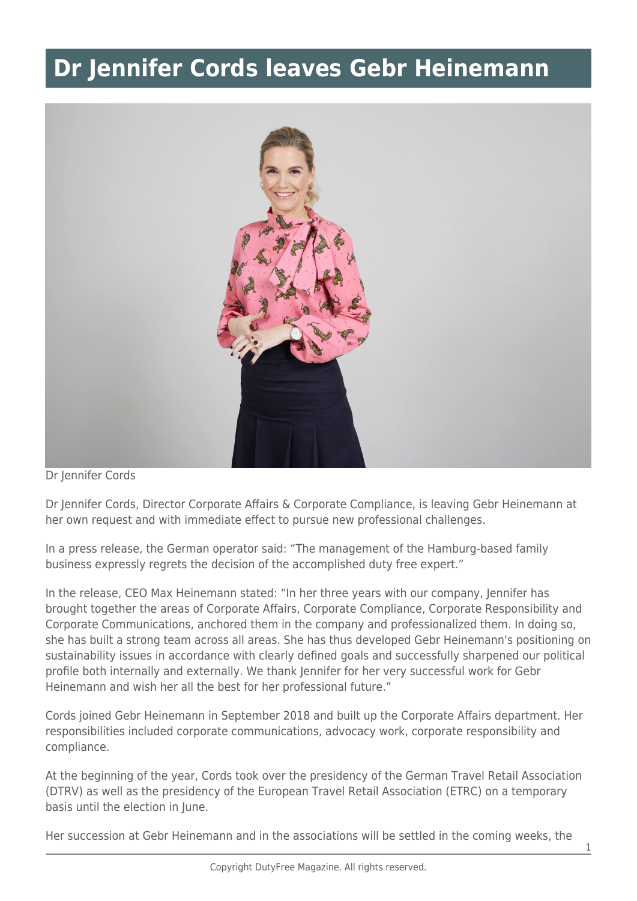## **Dr Jennifer Cords leaves Gebr Heinemann**



Dr Jennifer Cords

Dr Jennifer Cords, Director Corporate Affairs & Corporate Compliance, is leaving Gebr Heinemann at her own request and with immediate effect to pursue new professional challenges.

In a press release, the German operator said: "The management of the Hamburg-based family business expressly regrets the decision of the accomplished duty free expert."

In the release, CEO Max Heinemann stated: "In her three years with our company, Jennifer has brought together the areas of Corporate Affairs, Corporate Compliance, Corporate Responsibility and Corporate Communications, anchored them in the company and professionalized them. In doing so, she has built a strong team across all areas. She has thus developed Gebr Heinemann's positioning on sustainability issues in accordance with clearly defined goals and successfully sharpened our political profile both internally and externally. We thank Jennifer for her very successful work for Gebr Heinemann and wish her all the best for her professional future."

Cords joined Gebr Heinemann in September 2018 and built up the Corporate Affairs department. Her responsibilities included corporate communications, advocacy work, corporate responsibility and compliance.

At the beginning of the year, Cords took over the presidency of the German Travel Retail Association (DTRV) as well as the presidency of the European Travel Retail Association (ETRC) on a temporary basis until the election in June.

Her succession at Gebr Heinemann and in the associations will be settled in the coming weeks, the